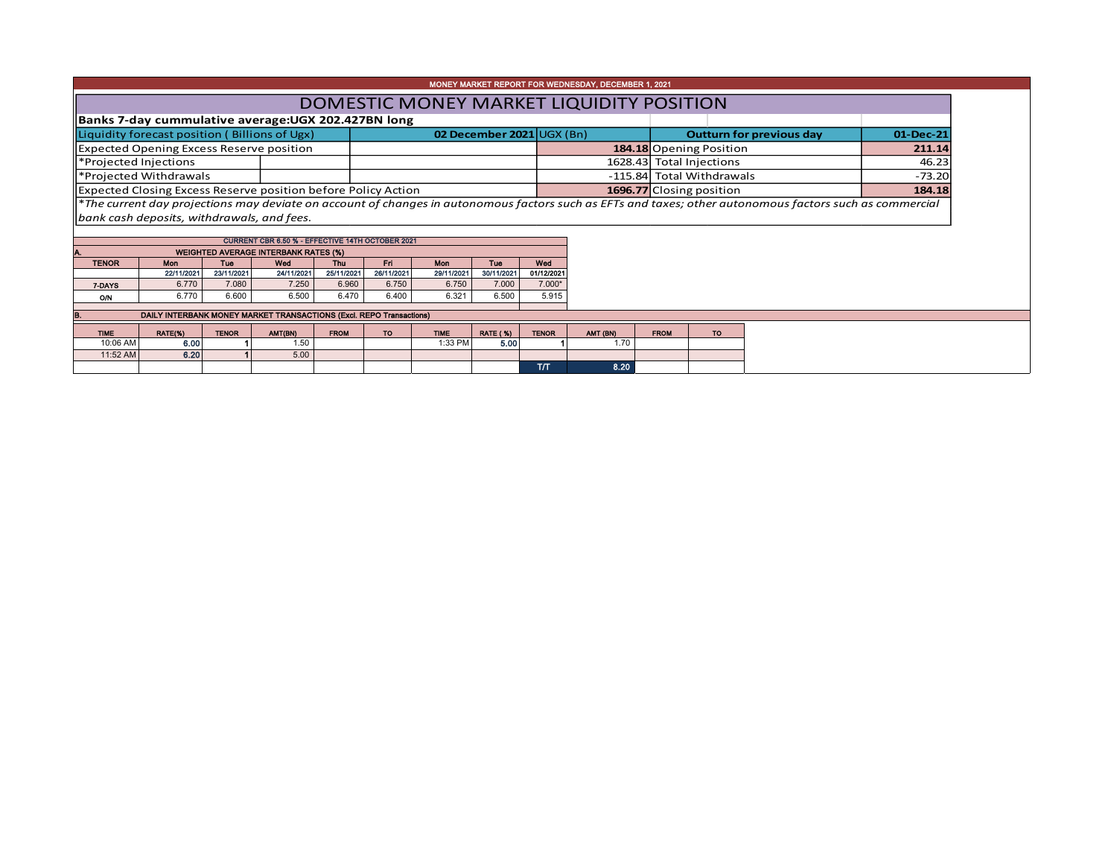|                                               |                                                                      |                |                                                  |                |                |                |                 |                           | MONEY MARKET REPORT FOR WEDNESDAY, DECEMBER 1, 2021 |                           |           |                                                                                                                                                          |           |  |
|-----------------------------------------------|----------------------------------------------------------------------|----------------|--------------------------------------------------|----------------|----------------|----------------|-----------------|---------------------------|-----------------------------------------------------|---------------------------|-----------|----------------------------------------------------------------------------------------------------------------------------------------------------------|-----------|--|
|                                               |                                                                      |                |                                                  |                |                |                |                 |                           | DOMESTIC MONEY MARKET LIQUIDITY POSITION            |                           |           |                                                                                                                                                          |           |  |
|                                               | Banks 7-day cummulative average: UGX 202.427BN long                  |                |                                                  |                |                |                |                 |                           |                                                     |                           |           |                                                                                                                                                          |           |  |
| Liquidity forecast position (Billions of Ugx) |                                                                      |                |                                                  |                |                |                |                 | 02 December 2021 UGX (Bn) | <b>Outturn for previous day</b>                     |                           |           |                                                                                                                                                          | 01-Dec-21 |  |
|                                               | <b>Expected Opening Excess Reserve position</b>                      |                |                                                  |                |                |                |                 |                           |                                                     | 184.18 Opening Position   |           |                                                                                                                                                          | 211.14    |  |
|                                               | *Projected Injections                                                |                |                                                  |                |                |                |                 |                           |                                                     | 1628.43 Total Injections  |           |                                                                                                                                                          | 46.23     |  |
| *Projected Withdrawals                        |                                                                      |                |                                                  |                |                |                |                 |                           |                                                     | -115.84 Total Withdrawals |           |                                                                                                                                                          | $-73.20$  |  |
|                                               | <b>Expected Closing Excess Reserve position before Policy Action</b> |                |                                                  |                |                |                |                 |                           | 1696.77 Closing position<br>184.18                  |                           |           |                                                                                                                                                          |           |  |
|                                               |                                                                      |                |                                                  |                |                |                |                 |                           |                                                     |                           |           |                                                                                                                                                          |           |  |
|                                               |                                                                      |                |                                                  |                |                |                |                 |                           |                                                     |                           |           | *The current day projections may deviate on account of changes in autonomous factors such as EFTs and taxes; other autonomous factors such as commercial |           |  |
|                                               | bank cash deposits, withdrawals, and fees.                           |                |                                                  |                |                |                |                 |                           |                                                     |                           |           |                                                                                                                                                          |           |  |
|                                               |                                                                      |                |                                                  |                |                |                |                 |                           |                                                     |                           |           |                                                                                                                                                          |           |  |
|                                               |                                                                      |                | CURRENT CBR 6.50 % - EFFECTIVE 14TH OCTOBER 2021 |                |                |                |                 |                           |                                                     |                           |           |                                                                                                                                                          |           |  |
|                                               |                                                                      |                | <b>WEIGHTED AVERAGE INTERBANK RATES (%)</b>      |                |                |                |                 |                           |                                                     |                           |           |                                                                                                                                                          |           |  |
| <b>TENOR</b>                                  | Mon                                                                  | Tue            | Wed                                              | <b>Thu</b>     | Fri            | Mon            | Tue             | Wed                       |                                                     |                           |           |                                                                                                                                                          |           |  |
|                                               | 22/11/2021<br>6.770                                                  | 23/11/2021     | 24/11/2021                                       | 25/11/2021     | 26/11/2021     | 29/11/2021     | 30/11/2021      | 01/12/2021                |                                                     |                           |           |                                                                                                                                                          |           |  |
| 7-DAYS<br>O/N                                 | 6.770                                                                | 7.080<br>6.600 | 7.250<br>6.500                                   | 6.960<br>6.470 | 6.750<br>6.400 | 6.750<br>6.321 | 7.000<br>6.500  | $7.000*$<br>5.915         |                                                     |                           |           |                                                                                                                                                          |           |  |
|                                               |                                                                      |                |                                                  |                |                |                |                 |                           |                                                     |                           |           |                                                                                                                                                          |           |  |
|                                               | DAILY INTERBANK MONEY MARKET TRANSACTIONS (Excl. REPO Transactions)  |                |                                                  |                |                |                |                 |                           |                                                     |                           |           |                                                                                                                                                          |           |  |
| <b>TIME</b>                                   | RATE(%)                                                              | <b>TENOR</b>   | AMT(BN)                                          | <b>FROM</b>    | TO.            | <b>TIME</b>    | <b>RATE (%)</b> | <b>TENOR</b>              | AMT (BN)                                            | <b>FROM</b>               | <b>TO</b> |                                                                                                                                                          |           |  |
| 10:06 AM                                      | 6.00                                                                 |                | 1.50                                             |                |                | 1:33 PM        | 5.00            |                           | 1.70                                                |                           |           |                                                                                                                                                          |           |  |
| 11:52 AM                                      | 6.20                                                                 |                | 5.00                                             |                |                |                |                 |                           | 8.20                                                |                           |           |                                                                                                                                                          |           |  |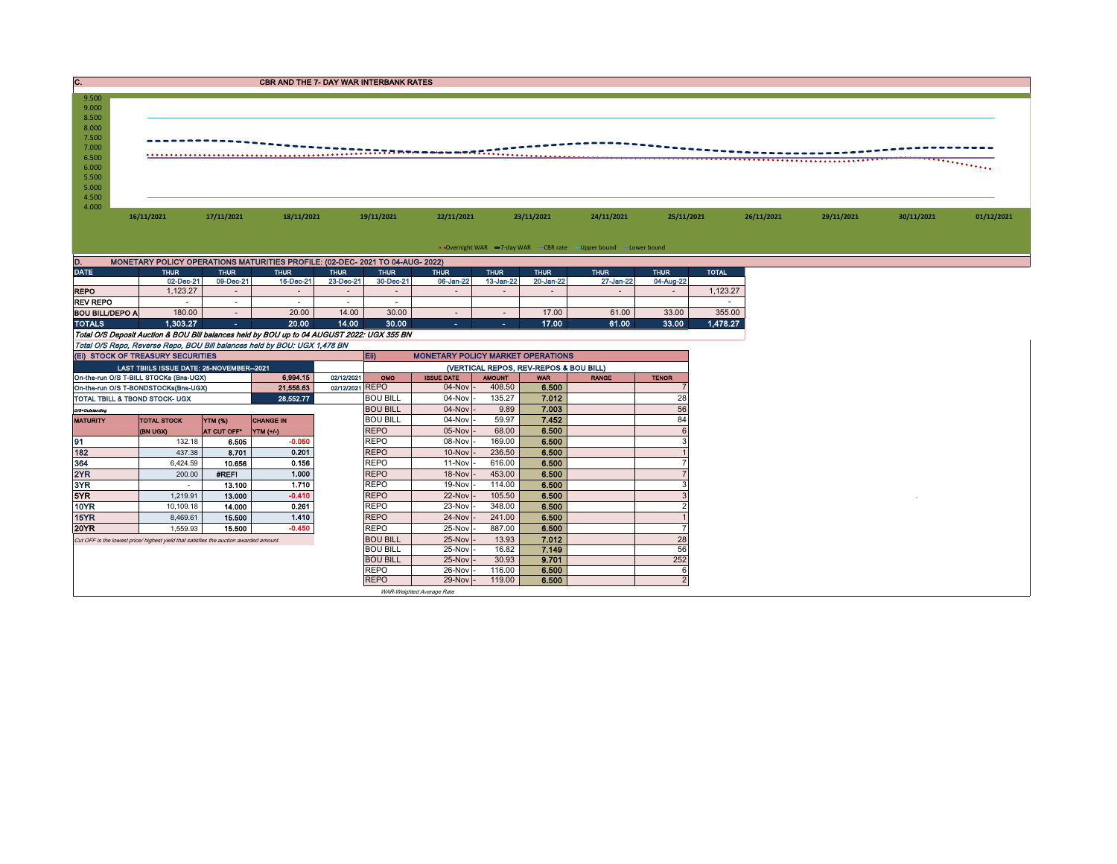| IC.                                | <b>CBR AND THE 7- DAY WAR INTERBANK RATES</b> |                     |                                                                                            |                     |                                                        |                         |                     |                                        |                                                                   |                     |              |            |            |            |            |  |  |
|------------------------------------|-----------------------------------------------|---------------------|--------------------------------------------------------------------------------------------|---------------------|--------------------------------------------------------|-------------------------|---------------------|----------------------------------------|-------------------------------------------------------------------|---------------------|--------------|------------|------------|------------|------------|--|--|
| 9.500<br>9.000<br>8.500<br>8.000   |                                               |                     |                                                                                            |                     |                                                        |                         |                     |                                        |                                                                   |                     |              |            |            |            |            |  |  |
| 7.500<br>7.000<br>6.500<br>6.000   |                                               |                     |                                                                                            |                     | -------------------                                    |                         |                     |                                        |                                                                   |                     |              |            |            |            |            |  |  |
| 5.500<br>5.000<br>4.500<br>4.000   |                                               |                     |                                                                                            |                     |                                                        |                         |                     |                                        |                                                                   |                     |              |            |            |            |            |  |  |
|                                    | 16/11/2021                                    | 17/11/2021          | 18/11/2021                                                                                 |                     | 19/11/2021                                             | 22/11/2021              |                     | 23/11/2021                             | 24/11/2021                                                        | 25/11/2021          |              | 26/11/2021 | 29/11/2021 | 30/11/2021 | 01/12/2021 |  |  |
|                                    |                                               |                     |                                                                                            |                     |                                                        |                         |                     |                                        | • Overnight WAR -7-day WAR - CBR rate - Upper bound - Lower bound |                     |              |            |            |            |            |  |  |
| D.                                 |                                               |                     | MONETARY POLICY OPERATIONS MATURITIES PROFILE: (02-DEC- 2021 TO 04-AUG- 2022)              |                     |                                                        |                         |                     |                                        |                                                                   |                     |              |            |            |            |            |  |  |
| <b>DATE</b>                        | <b>THUR</b>                                   | <b>THUR</b>         | <b>THUR</b>                                                                                | <b>THUR</b>         | <b>THUR</b>                                            | <b>THUR</b>             | <b>THUR</b>         | <b>THUR</b>                            | <b>THUR</b>                                                       | <b>THUR</b>         | <b>TOTAL</b> |            |            |            |            |  |  |
| <b>REPO</b>                        | 02-Dec-21<br>1,123.27                         | 09-Dec-21<br>$\sim$ | 16-Dec-21<br>$\sim$                                                                        | 23-Dec-21<br>$\sim$ | 30-Dec-21<br>$\sim$                                    | 06-Jan-22<br>$\sim$     | 13-Jan-22<br>$\sim$ | 20-Jan-22<br>$\sim$                    | 27-Jan-22<br>$\sim$                                               | 04-Aug-22<br>$\sim$ | 1,123.27     |            |            |            |            |  |  |
| <b>REV REPO</b>                    |                                               | $\sim$              | $\sim$                                                                                     | $\sim$              | $\sim$                                                 |                         |                     |                                        |                                                                   |                     |              |            |            |            |            |  |  |
| <b>BOU BILL/DEPO A</b>             | 180.00                                        | $\sim$              | 20.00                                                                                      | 14.00               | 30.00                                                  | $\sim$                  | $\sim$              | 17.00                                  | 61.00                                                             | 33.00               | 355.00       |            |            |            |            |  |  |
| <b>TOTALS</b>                      | 1.303.27                                      | $\sim 10$           | 20.00                                                                                      | 14.00               | 30.00                                                  | $\sim$                  | $\sim$              | 17.00                                  | 61.00                                                             | 33.00               | 1,478.27     |            |            |            |            |  |  |
|                                    |                                               |                     | Total O/S Deposit Auction & BOU Bill balances held by BOU up to 04 AUGUST 2022: UGX 355 BN |                     |                                                        |                         |                     |                                        |                                                                   |                     |              |            |            |            |            |  |  |
|                                    |                                               |                     | Total O/S Repo, Reverse Repo, BOU Bill balances held by BOU: UGX 1,478 BN                  |                     |                                                        |                         |                     |                                        |                                                                   |                     |              |            |            |            |            |  |  |
|                                    | (EI) STOCK OF TREASURY SECURITIES             |                     |                                                                                            |                     | <b>Ein</b><br><b>MONETARY POLICY MARKET OPERATIONS</b> |                         |                     |                                        |                                                                   |                     |              |            |            |            |            |  |  |
|                                    | LAST TBIILS ISSUE DATE: 25-NOVEMBER--2021     |                     |                                                                                            |                     |                                                        |                         |                     | (VERTICAL REPOS, REV-REPOS & BOU BILL) |                                                                   |                     |              |            |            |            |            |  |  |
|                                    | On-the-run O/S T-BILL STOCKs (Bns-UGX)        |                     | 6.994.15                                                                                   | 02/12/2021          | OMO                                                    | <b>ISSUE DATE</b>       | <b>AMOUNT</b>       | <b>WAR</b>                             | <b>RANGE</b>                                                      | <b>TENOR</b>        |              |            |            |            |            |  |  |
|                                    | On-the-run O/S T-BONDSTOCKs(Bns-UGX)          |                     | 21,558.63                                                                                  | 02/12/2021 REPO     | <b>BOU BILL</b>                                        | $04$ -Nov $-$<br>04-Nov | 408.50<br>135.27    | 6.500<br>7.012                         |                                                                   | 28                  |              |            |            |            |            |  |  |
|                                    | TOTAL TBILL & TBOND STOCK- UGX                |                     | 28,552.77                                                                                  |                     | <b>BOU BILL</b>                                        | 04-Nov                  | 9.89                | 7.003                                  |                                                                   | 56                  |              |            |            |            |            |  |  |
| O/S=Outstanding<br><b>MATURITY</b> | <b>TOTAL STOCK</b>                            | <b>YTM (%)</b>      | <b>CHANGE IN</b>                                                                           |                     | <b>BOU BILL</b>                                        | $04$ -Nov $\cdot$       | 59.97               | 7.452                                  |                                                                   | 84                  |              |            |            |            |            |  |  |
|                                    | (BN UGX)                                      | AT CUT OFF*         | $\mathbf{YTM}$ (+/-)                                                                       |                     | <b>REPO</b>                                            | 05-Nov                  | 68.00               | 6.500                                  |                                                                   | 6                   |              |            |            |            |            |  |  |
| 91                                 | 132.18                                        | 6.505               | $-0.050$                                                                                   |                     | <b>REPO</b>                                            | 08-Nov                  | 169.00              | 6.500                                  |                                                                   | З                   |              |            |            |            |            |  |  |
| 182                                | 437.38                                        | 8.701               | 0.201                                                                                      |                     | <b>REPO</b>                                            | 10-Nov                  | 236.50              | 6.500                                  |                                                                   |                     |              |            |            |            |            |  |  |
| 364                                | 6.424.59                                      | 10.656              | 0.156                                                                                      |                     | <b>REPO</b>                                            | $11-Nov$                | 616.00              | 6.500                                  |                                                                   |                     |              |            |            |            |            |  |  |
| 2YR                                | 200.00                                        | #REF!               | 1.000                                                                                      |                     | <b>REPO</b>                                            | $18-Nov$                | 453.00              | 6.500                                  |                                                                   |                     |              |            |            |            |            |  |  |
| 3YR                                | $\sim$                                        | 13.100              | 1,710                                                                                      |                     | <b>REPO</b>                                            | 19-Nov                  | 114.00              | 6.500                                  |                                                                   |                     |              |            |            |            |            |  |  |
| 5YR                                | 1.219.91                                      | 13.000              | $-0.410$                                                                                   |                     | <b>REPO</b>                                            | 22-Nov                  | 105.50              | 6.500                                  |                                                                   |                     |              |            |            |            |            |  |  |
| <b>10YR</b>                        | 10,109.18                                     | 14.000              | 0.261                                                                                      |                     | <b>REPO</b>                                            | 23-Nov                  | 348.00              | 6.500                                  |                                                                   |                     |              |            |            |            |            |  |  |
| 15YR                               | 8.469.61                                      | 15.500              | 1.410<br>$-0.450$                                                                          |                     | <b>REPO</b>                                            | 24-Nov                  | 241.00              | 6.500                                  |                                                                   |                     |              |            |            |            |            |  |  |
| 20YR                               | 1.559.93                                      | 15.500              |                                                                                            |                     | <b>REPO</b>                                            | 25-Nov -                | 887.00              | 6.500                                  |                                                                   |                     |              |            |            |            |            |  |  |

BOU BILL 25-Nov - 30.93 9.701 252 REPO 26-Nov - 116.00 6.500 6 REPO 29-Nov - 119.00 6.500 2

20YR 1,559.93 15.500 -0.450 REPO 25-Nov - 887.00 6.500 7 Cut OFF is the lowest price/ highest yield that satisfies the auction awarded amount.<br>
BOU BILL 25-Nov - 13.93 7.012 28<br>
BOU BILL 25-Nov - 16.82 7.149 56 800 BILL 25-Nov - 16.82 7.012 28<br>BOU BILL 25-Nov - 16.82 7.149 56<br>BOU BILL 25-Nov - 16.82 7.149 56<br>BOU BILL 25-Nov - 30.93 9.701 252

WAR-Weighted Average Rate